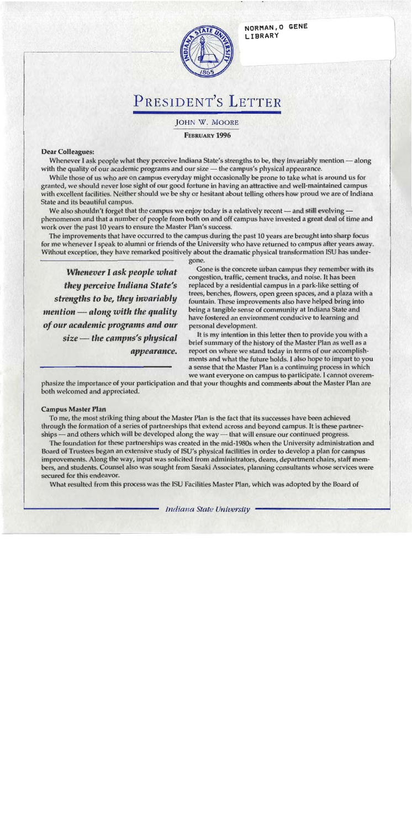NORMAN, O GENE LIBRARY



# PRESIDENT'S LETTER

**JOHN W. MOORE** 

**FEBRUARY 1996** 

### **Dear Colleagues:**

Whenever I ask people what they perceive Indiana State's strengths to be, they invariably mention — along with the quality of our academic programs and our size — the campus's physical appearance.

While those of us who are on campus everyday might occasionally be prone to take what is around us for granted, we should never lose sight of our good fortune in having an attractive and well-maintained campus with excellent facilities. Neither should we be shy or hesitant about telling others how proud we are of Indiana State and its beautiful campus.

We also shouldn't forget that the campus we enjoy today is a relatively recent  $-$  and still evolving  $$ phenomenon and that a number of people from both on and off campus have invested a great deal of time and work over the past 10 years to ensure the Master Plan's success.

The improvements that have occurred to the campus during the past 10 years are brought into sharp focus for me whenever I speak to alumni or friends of the University who have returned to campus after years away. Without exception, they have remarked positively about the dramatic physical transformation ISU has under-

Whenever I ask people what they perceive Indiana State's strengths to be, they invariably  $m$ ention  $\rightharpoonup$  along with the quality of our academic programs and our size – the campus's physical appearance. gone.

Gone is the concrete urban campus they remember with its congestion, traffic, cement trucks, and noise. It has been replaced by a residential campus in a park-like setting of trees, benches, flowers, open green spaces, and a plaza with a fountain. These improvements also have helped bring into being a tangible sense of community at Indiana State and have fostered an environment conducive to learning and personal development.

It is my intention in this letter then to provide you with a brief summary of the history of the Master Plan as well as a report on where we stand today in terms of our accomplishments and what the future holds. I also hope to impart to you a sense that the Master Plan is a continuing process in which we want everyone on campus to participate. I cannot overem-

phasize the importance of your participation and that your thoughts and comments about the Master Plan are both welcomed and appreciated.

### **Campus Master Plan**

To me, the most striking thing about the Master Plan is the fact that its successes have been achieved through the formation of a series of partnerships that extend across and beyond campus. It is these partnerships — and others which will be developed along the way — that will ensure our continued progress.

The foundation for these partnerships was created in the mid-1980s when the University administration and Board of Trustees began an extensive study of ISU's physical facilities in order to develop a plan for campus improvements. Along the way, input was solicited from administrators, deans, department chairs, staff members, and students. Counsel also was sought from Sasaki Associates, planning consultants whose services were secured for this endeavor.

What resulted from this process was the ISU Facilities Master Plan, which was adopted by the Board of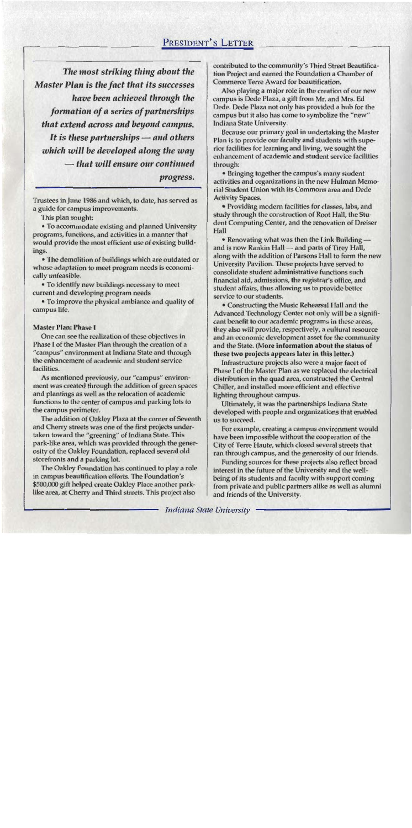The most striking thing about the Master Plan is the fact that its successes have been achieved through the formation of a series of partnerships that extend across and beyond campus. It is these partnerships  $-$  and others which will be developed along the way — that will ensure our continued progress.

Trustees in June 1986 and which, to date, has served as a guide for campus improvements.

This plan sought:

• To accommodate existing and planned University programs, functions, and activities in a manner that would provide the most efficient use of existing buildings.

• The demolition of buildings which are outdated or whose adaptation to meet program needs is economically unfeasible.

• To identify new buildings necessary to meet current and developing program needs

• To improve the physical ambiance and quality of campus life.

### **Master Plan: Phase I**

One can see the realization of these objectives in Phase I of the Master Plan through the creation of a "campus" environment at Indiana State and through the enhancement of academic and student service facilities.

As mentioned previously, our "campus" environment was created through the addition of green spaces and plantings as well as the relocation of academic functions to the center of campus and parking lots to the campus perimeter.

The addition of Oakley Plaza at the corner of Seventh and Cherry streets was one of the first projects undertaken toward the "greening" of Indiana State. This park-like area, which was provided through the generosity of the Oakley Foundation, replaced several old storefronts and a parking lot.

The Oakley Foundation has continued to play a role in campus beautification efforts. The Foundation's \$500,000 gift helped create Oakley Place another parklike area, at Cherry and Third streets. This project also

contributed to the community's Third Street Beautification Project and earned the Foundation a Chamber of Commerce Terre Award for beautification.

Also playing a major role in the creation of our new campus is Dede Plaza, a gift from Mr. and Mrs. Ed Dede. Dede Plaza not only has provided a hub for the campus but it also has come to symbolize the "new" Indiana State University.

Because our primary goal in undertaking the Master Plan is to provide our faculty and students with superior facilities for learning and living, we sought the enhancement of academic and student service facilities through:

• Bringing together the campus's many student activities and organizations in the new Hulman Memorial Student Union with its Commons area and Dede **Activity Spaces.** 

• Providing modern facilities for classes, labs, and study through the construction of Root Hall, the Student Computing Center, and the renovation of Dreiser Hall

• Renovating what was then the Link Building and is now Rankin Hall - and parts of Tirey Hall, along with the addition of Parsons Hall to form the new University Pavilion. These projects have served to consolidate student administrative functions such financial aid, admissions, the registrar's office, and student affairs, thus allowing us to provide better service to our students.

• Constructing the Music Rehearsal Hall and the Advanced Technology Center not only will be a significant benefit to our academic programs in these areas, they also will provide, respectively, a cultural resource and an economic development asset for the community and the State. (More information about the status of these two projects appears later in this letter.)

Infrastructure projects also were a major facet of Phase I of the Master Plan as we replaced the electrical distribution in the quad area, constructed the Central Chiller, and installed more efficient and effective lighting throughout campus.

Ultimately, it was the partnerships Indiana State developed with people and organizations that enabled us to succeed.

For example, creating a campus environment would have been impossible without the cooperation of the City of Terre Haute, which closed several streets that ran through campus, and the generosity of our friends.

Funding sources for these projects also reflect broad interest in the future of the University and the wellbeing of its students and faculty with support coming from private and public partners alike as well as alumni and friends of the University.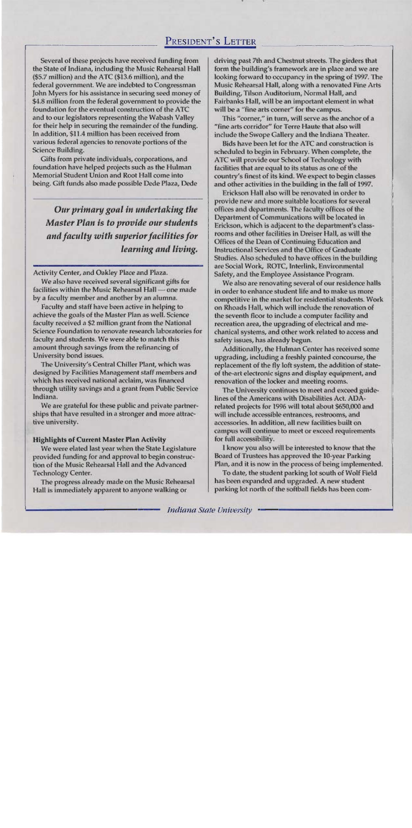Several of these projects have received funding from the State of Indiana, including the Music Rehearsal Hall (\$5.7 million) and the ATC (\$13.6 million), and the federal government. We are indebted to Congressman John Myers for his assistance in securing seed money of \$4.8 million from the federal government to provide the foundation for the eventual construction of the ATC and to our legislators representing the Wabash Valley for their help in securing the remainder of the funding. In addition, \$11.4 million has been received from various federal agencies to renovate portions of the Science Building.

Gifts from private individuals, corporations, and foundation have helped projects such as the Hulman Memorial Student Union and Root Hall come into being. Gift funds also made possible Dede Plaza, Dede

Our primary goal in undertaking the **Master Plan is to provide our students** and faculty with superior facilities for learning and living.

Activity Center, and Oakley Place and Plaza.

We also have received several significant gifts for facilities within the Music Rehearsal Hall - one made by a faculty member and another by an alumna.

Faculty and staff have been active in helping to achieve the goals of the Master Plan as well. Science faculty received a \$2 million grant from the National Science Foundation to renovate research laboratories for faculty and students. We were able to match this amount through savings from the refinancing of University bond issues.

The University's Central Chiller Plant, which was designed by Facilities Management staff members and which has received national acclaim, was financed through utility savings and a grant from Public Service Indiana.

We are grateful for these public and private partnerships that have resulted in a stronger and more attractive university.

### **Highlights of Current Master Plan Activity**

We were elated last year when the State Legislature provided funding for and approval to begin construction of the Music Rehearsal Hall and the Advanced **Technology Center.** 

The progress already made on the Music Rehearsal Hall is immediately apparent to anyone walking or

driving past 7th and Chestnut streets. The girders that form the building's framework are in place and we are looking forward to occupancy in the spring of 1997. The Music Rehearsal Hall, along with a renovated Fine Arts Building, Tilson Auditorium, Normal Hall, and Fairbanks Hall, will be an important element in what will be a "fine arts corner" for the campus.

This "corner," in turn, will serve as the anchor of a "fine arts corridor" for Terre Haute that also will include the Swope Gallery and the Indiana Theater.

Bids have been let for the ATC and construction is scheduled to begin in February. When complete, the ATC will provide our School of Technology with facilities that are equal to its status as one of the country's finest of its kind. We expect to begin classes and other activities in the building in the fall of 1997.

Erickson Hall also will be renovated in order to provide new and more suitable locations for several offices and departments. The faculty offices of the Department of Communications will be located in Erickson, which is adjacent to the department's classrooms and other facilities in Dreiser Hall, as will the Offices of the Dean of Continuing Education and Instructional Services and the Office of Graduate Studies. Also scheduled to have offices in the building are Social Work, ROTC, Interlink, Environmental Safety, and the Employee Assistance Program.

We also are renovating several of our residence halls in order to enhance student life and to make us more competitive in the market for residential students. Work on Rhoads Hall, which will include the renovation of the seventh floor to include a computer facility and recreation area, the upgrading of electrical and mechanical systems, and other work related to access and safety issues, has already begun.

Additionally, the Hulman Center has received some upgrading, including a freshly painted concourse, the replacement of the fly loft system, the addition of stateof the-art electronic signs and display equipment, and renovation of the locker and meeting rooms.

The University continues to meet and exceed guidelines of the Americans with Disabilities Act. ADArelated projects for 1996 will total about \$650,000 and will include accessible entrances, restrooms, and accessories. In addition, all new facilities built on campus will continue to meet or exceed requirements for full accessibility.

I know you also will be interested to know that the Board of Trustees has approved the 10-year Parking Plan, and it is now in the process of being implemented.

To date, the student parking lot south of Wolf Field has been expanded and upgraded. A new student parking lot north of the softball fields has been com-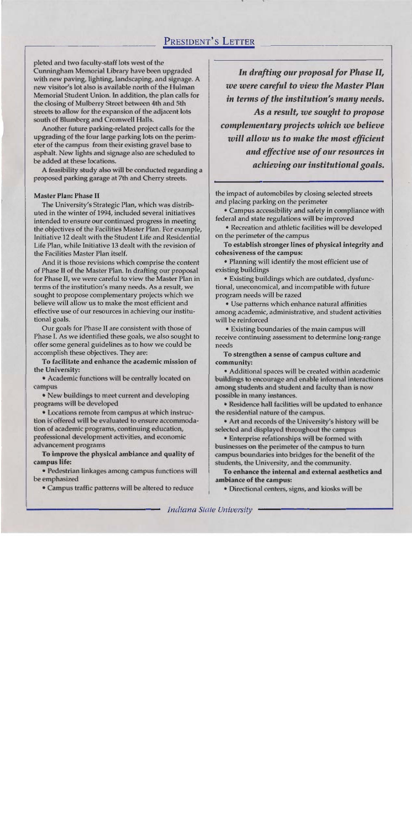**pleted and** two faculty-staff **lak wed of** the **Cunningham Memorial Library have been upgraded** with new paving, lighting, landscaping, and signage. A new **visitor's** lot also is available north of the **Hulman Memorid** Student Union. **In** addition, **the plan call\$** for **the clming** of Mulberry Street **between 4th** and **5th streets to allow for the expansion of the adjacent lots** south of Blumberg and Cromwell Halls.

Another future parking-related project calls for the upgrading of the four large parking lots on the perimeter of the campus from their existing gravel base to asphalt. New lights and signage also are scheduled to upgrading of the four large parking lots on the perim-<br>eter of the campus from their existing gravel base to **asphalt. New** lights **and** signage also are **srheduld to**   $be added at these locations.$ 

**A feasibilily ddy ako will be** cmducteb **regarding** a **proposed parking garage at 7th and Cherry streets.** 

#### Master Plan: Phase **11**

The University's Strategic Plan, which was distributed in the winter of 1994, included several initiatives intended to ensure **our** continued progress in meeting the objectives of the Facilities Master Plan. For example, Initiative 12 dealt with the Student Life and Residential Life Plan, while Initiative 13 dealt with the revision of the Facilities Master Plan itself.

And it is those revisions which comprise the content of Phase **II** of the Master Plan. In drafting our proposal for Phase 11, we were careful to view the Master Plan in terms of the institution's many needs. **As** a result, we sought to propose complementary **prajects** which we believe will allow us to make the most efficient and effective use of our resources in achieving our institutional goals.

Our goals for Phase II are consistent with those of Phase I. As we identified these goals, we also sought to offer some general guidelines as to how **we** could be accomplish these objectives. They are:

**To** faciIitate **and enhance** the academic mission of the University:

**• Academic functions will be centrally located on campus** 

 $\bullet$  New buildings to meet current and developing program\$ **will be deuelaped** 

**• Locations remote from campus at which instructian** is-offered **will** be evaluated **to ensure arcommda**tion of academic programs, continuing education, professional development activities, and economic **advancement program** 

**To impme the physical** ambiance **and** quality **of campus life:** 

**• Pedestrian linkages among campus functions will be emphasized** 

 $\bullet$  Campus traffic patterns will be altered to reduce

In drafting our proposal for Phase II, we were careful to view the Master Plan in terms of the institution's many needs. As a result, we sought to propose complementary projects which we believe will allow us to make the most efficient and effective use of our resources in achieving our institutional goals.

the impact of automobiles by cIosing **seIected** streets and placing parking on the perimeter

Campus accessibility and safety in compliance with federal and state regulations will be improved

• Recreation and athletic facilities will be developed on the perimeter of the campus

To establish **stronger lines** of physical integrity and cohesiveness of the campus:

Planning will identify the most efficient use of existing buildings

Existing buildings which are outdated, dysfunctional, uneconomical, and incompatible with future program needs will **be** razed

Use patterns which enhance natural affinities among academic, administrative, and student activities will be reinforced

Existing baundaries of the main campus will receive continuing assessment to determine long-range needs

To strengthen a **sense of campus** culture **and community:** 

Additional spaces will be created within academic buildings to encourage and enable informal interactions among students and student **and** hculty then **is mw**   $possible$  in many instances.

**Residence hall facilities will be updated to enhance the residential nature of the campus.** 

• Art and records of the University's history will be **selected and displayed** thro~rghout **the campus** 

**• Enterprise relationships will be formed with** businesses an the perimeter **d** the **campus** to turn campus boundaries into **bridges** for **the** benefit **of** the students, the University, and the community.

**To enhance the internal and external aesthetics and arnbiaace of the campus:** 

Directimal centers, **signs,** and **kiosks will be**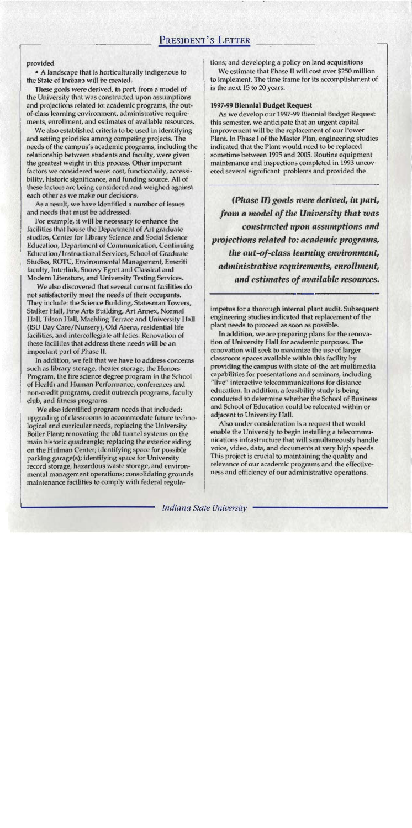#### provided

• A landscape that is horticulturally indigenous to the State of Indiana will be created.

These goals were derived, in part, from a model of the University that was constructed upon assumptions and projections related to: academic programs, the outof-class learning environment, administrative requirements, enrollment, and estimates of available resources.

We also established criteria to be used in identifying and setting priorities among competing projects. The needs of the campus's academic programs, including the relationship between students and faculty, were given the greatest weight in this process. Other important factors we considered were: cost, functionality, accessibility, historic significance, and funding source. All of these factors are being considered and weighed against each other as we make our decisions.

As a result, we have identified a number of issues and needs that must be addressed.

For example, it will be necessary to enhance the facilities that house the Department of Art graduate studios, Center for Library Science and Social Science Education, Department of Communication, Continuing Education/Instructional Services, School of Graduate Studies, ROTC, Environmental Management, Emeriti faculty, Interlink, Snowy Egret and Classical and Modern Literature, and University Testing Services.

We also discovered that several current facilities do not satisfactorily meet the needs of their occupants. They include: the Science Building, Statesman Towers, Stalker Hall, Fine Arts Building, Art Annex, Normal Hall, Tilson Hall, Maehling Terrace and University Hall (ISU Day Care/Nursery), Old Arena, residential life facilities, and intercollegiate athletics. Renovation of these facilities that address these needs will be an important part of Phase II.

In addition, we felt that we have to address concerns such as library storage, theater storage, the Honors Program, the fire science degree program in the School of Health and Human Performance, conferences and non-credit programs, credit outreach programs, faculty club, and fitness programs.

We also identified program needs that included: upgrading of classrooms to accommodate future technological and curricular needs, replacing the University Boiler Plant; renovating the old tunnel systems on the main historic quadrangle; replacing the exterior siding on the Hulman Center; identifying space for possible parking garage(s); identifying space for University record storage, hazardous waste storage, and environmental management operations; consolidating grounds maintenance facilities to comply with federal regulations; and developing a policy on land acquisitions

We estimate that Phase II will cost over \$250 million to implement. The time frame for its accomplishment of is the next 15 to 20 years.

### 1997-99 Biennial Budget Request

As we develop our 1997-99 Biennial Budget Request this semester, we anticipate that an urgent capital improvement will be the replacement of our Power Plant. In Phase I of the Master Plan, engineering studies indicated that the Plant would need to be replaced sometime between 1995 and 2005. Routine equipment maintenance and inspections completed in 1993 uncovered several significant problems and provided the

(Phase II) goals were derived, in part, from a model of the University that was constructed upon assumptions and projections related to: academic programs, the out-of-class learning environment, administrative requirements, enrollment, and estimates of available resources.

impetus for a thorough internal plant audit. Subsequent engineering studies indicated that replacement of the plant needs to proceed as soon as possible.

In addition, we are preparing plans for the renovation of University Hall for academic purposes. The renovation will seek to maximize the use of larger classroom spaces available within this facility by providing the campus with state-of-the-art multimedia capabilities for presentations and seminars, including "live" interactive telecommunications for distance education. In addition, a feasibility study is being conducted to determine whether the School of Business and School of Education could be relocated within or adjacent to University Hall.

Also under consideration is a request that would enable the University to begin installing a telecommunications infrastructure that will simultaneously handle voice, video, data, and documents at very high speeds. This project is crucial to maintaining the quality and relevance of our academic programs and the effectiveness and efficiency of our administrative operations.